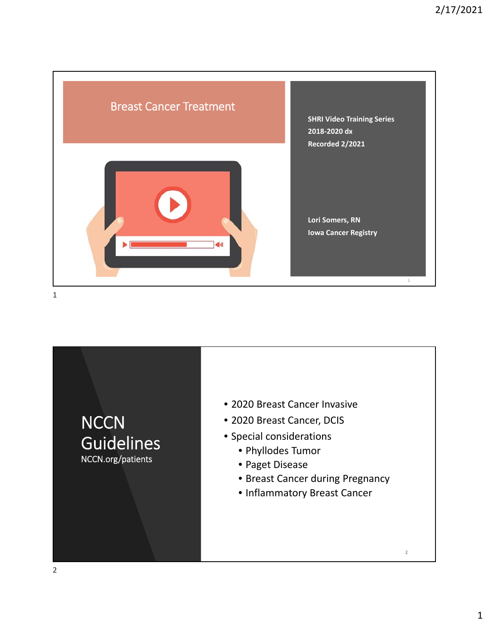

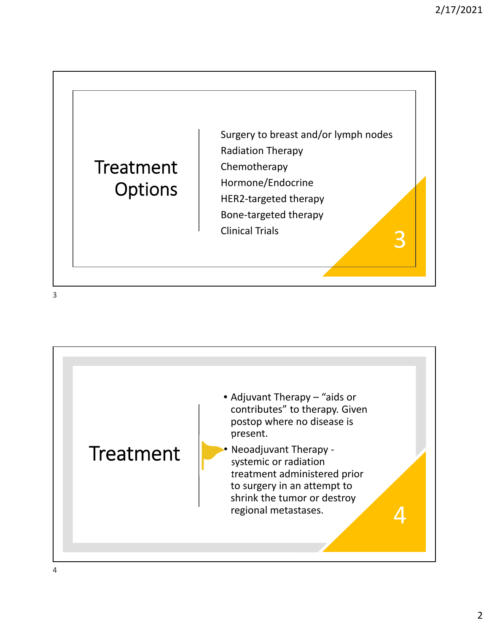## **Treatment Options**

Surgery to breast and/or lymph nodes Radiation Therapy Chemotherapy Hormone/Endocrine HER2‐targeted therapy Bone‐targeted therapy Clinical Trials 3

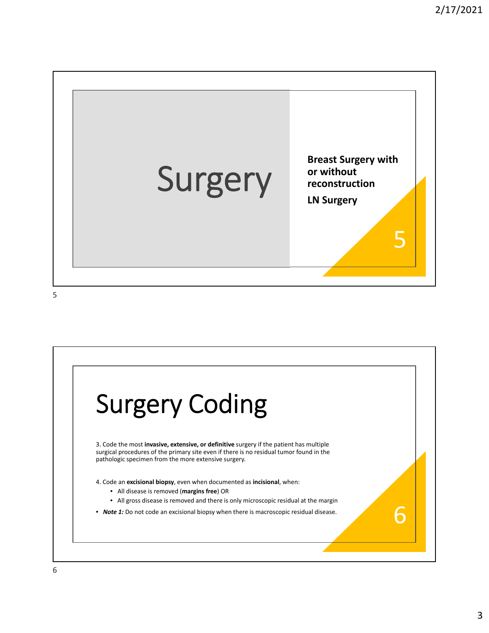

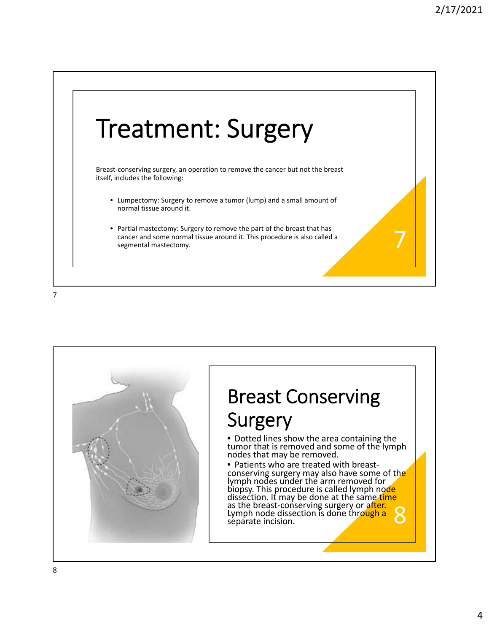



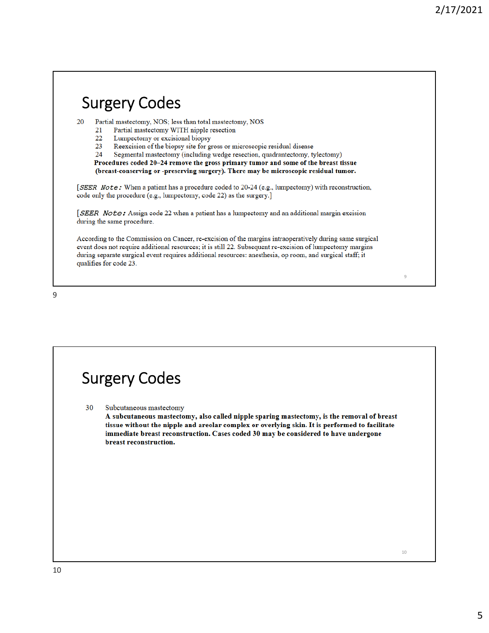## Surgery Codes

20 Partial mastectomy, NOS; less than total mastectomy, NOS

- Partial mastectomy WITH nipple resection 21
- 22 Lumpectomy or excisional biopsy
- 23 Reexcision of the biopsy site for gross or microscopic residual disease

24 Segmental mastectomy (including wedge resection, quadrantectomy, tylectomy)

Procedures coded 20-24 remove the gross primary tumor and some of the breast tissue (breast-conserving or -preserving surgery). There may be microscopic residual tumor.

[SEER Note: When a patient has a procedure coded to 20-24 (e.g., lumpectomy) with reconstruction, code only the procedure (e.g., lumpectomy, code 22) as the surgery.]

[SEER Note: Assign code 22 when a patient has a lumpectomy and an additional margin excision during the same procedure.

According to the Commission on Cancer, re-excision of the margins intraoperatively during same surgical event does not require additional resources; it is still 22. Subsequent re-excision of lumpectomy margins during separate surgical event requires additional resources: anesthesia, op room, and surgical staff; it qualifies for code 23.

9

## Surgery Codes

30 Subcutaneous mastectomy

> A subcutaneous mastectomy, also called nipple sparing mastectomy, is the removal of breast tissue without the nipple and areolar complex or overlying skin. It is performed to facilitate immediate breast reconstruction. Cases coded 30 may be considered to have undergone breast reconstruction.

> > 10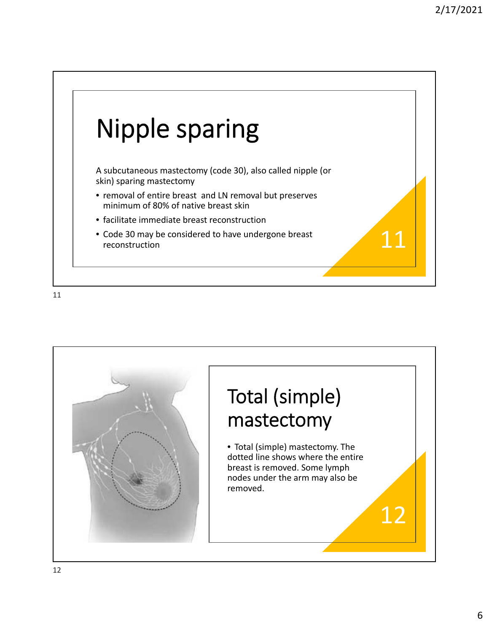

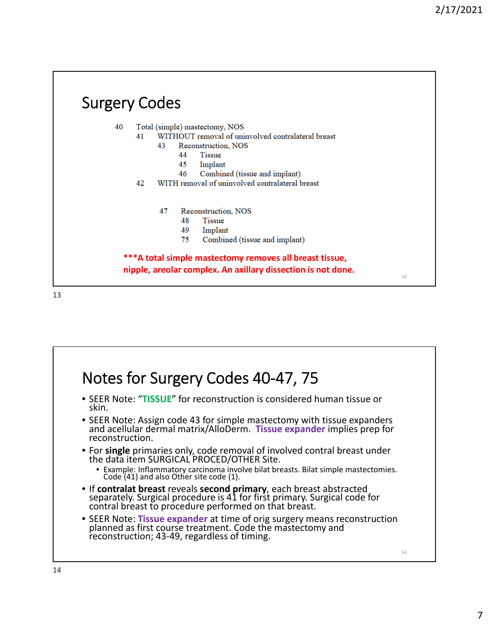#### Surgery Codes 40 Total (simple) mastectomy, NOS WITHOUT removal of uninvolved contralateral breast 41 43 Reconstruction, NOS 44 **Tissue** 45 Implant 46 Combined (tissue and implant) 42 WITH removal of uninvolved contralateral breast 47 Reconstruction, NOS 48 Tissue 49 Implant 75 Combined (tissue and implant) **\*\*\*A total simple mastectomy removes all breast tissue, nipple, areolar complex. An axillary dissection is not done.** 13

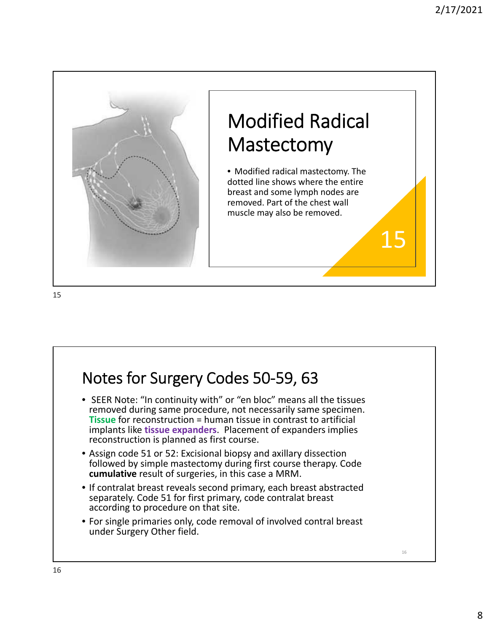

## Notes for Surgery Codes 50‐59, 63

- SEER Note: "In continuity with" or "en bloc" means all the tissues removed during same procedure, not necessarily same specimen. **Tissue** for reconstruction = human tissue in contrast to artificial implants like **tissue expanders**. Placement of expanders implies reconstruction is planned as first course.
- Assign code 51 or 52: Excisional biopsy and axillary dissection followed by simple mastectomy during first course therapy. Code **cumulative** result of surgeries, in this case a MRM.
- If contralat breast reveals second primary, each breast abstracted separately. Code 51 for first primary, code contralat breast according to procedure on that site.
- For single primaries only, code removal of involved contral breast under Surgery Other field.

16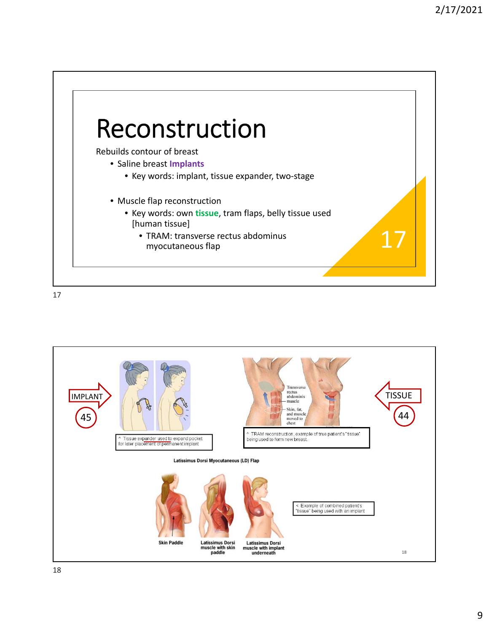

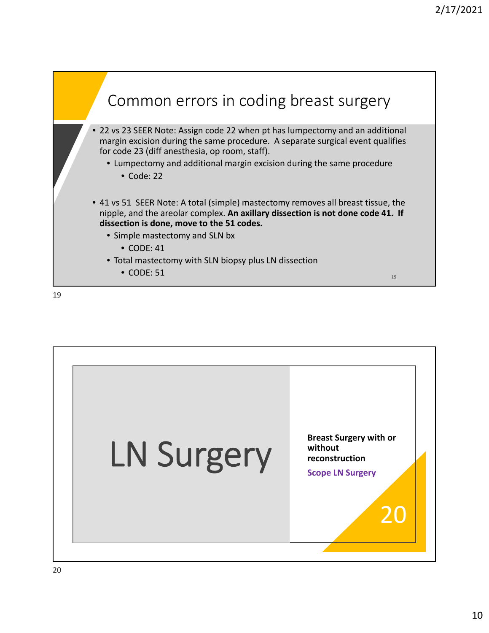

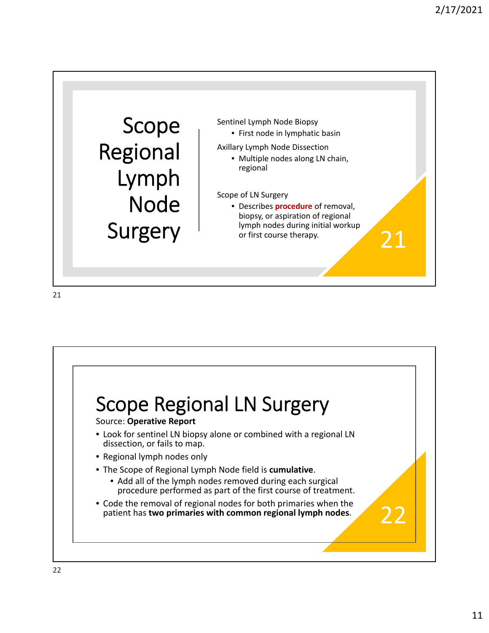

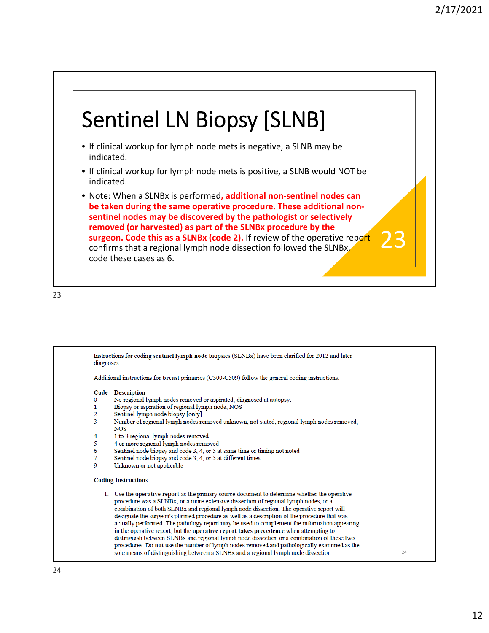# Sentinel LN Biopsy [SLNB]

- If clinical workup for lymph node mets is negative, a SLNB may be indicated.
- If clinical workup for lymph node mets is positive, a SLNB would NOT be indicated.
- Note: When a SLNBx is performed**, additional non‐sentinel nodes can be taken during the same operative procedure. These additional non‐ sentinel nodes may be discovered by the pathologist or selectively removed (or harvested) as part of the SLNBx procedure by the surgeon. Code this as a SLNBx (code 2).** If review of the operative report confirms that a regional lymph node dissection followed the SLNBx, code these cases as 6.

23

Instructions for coding sentinel lymph node biopsies (SLNBx) have been clarified for 2012 and later diagnoses Additional instructions for breast primaries (C500-C509) follow the general coding instructions. Code Description No regional lymph nodes removed or aspirated; diagnosed at autopsy.  $\Omega$  $\mathbf{1}$ Biopsy or aspiration of regional lymph node, NOS  $\overline{2}$ Sentinel lymph node biopsy [only] 3 Number of regional lymph nodes removed unknown, not stated; regional lymph nodes removed, **NOS**  $\overline{\mathbf{A}}$ 1 to 3 regional lymph nodes removed  $\overline{\mathbf{5}}$ 4 or more regional lymph nodes removed 6 Sentinel node biopsy and code 3, 4, or 5 at same time or timing not noted Sentinel node biopsy and code 3, 4, or 5 at different times 7  $\overline{Q}$ Unknown or not applicable **Coding Instructions** 1. Use the operative report as the primary source document to determine whether the operative procedure was a SLNBx, or a more extensive dissection of regional lymph nodes, or a combination of both SLNBx and regional lymph node dissection. The operative report will designate the surgeon's planned procedure as well as a description of the procedure that was actually performed. The pathology report may be used to complement the information appearing in the operative report, but the operative report takes precedence when attempting to distinguish between SLNBx and regional lymph node dissection or a combination of these two procedures. Do not use the number of lymph nodes removed and pathologically examined as the sole means of distinguishing between a SLNBx and a regional lymph node dissection. 24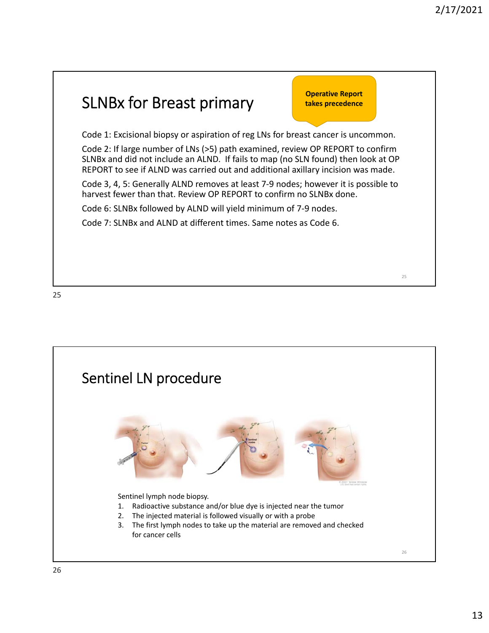### SLNBx for Breast primary Code 1: Excisional biopsy or aspiration of reg LNs for breast cancer is uncommon. Code 2: If large number of LNs (>5) path examined, review OP REPORT to confirm SLNBx and did not include an ALND. If fails to map (no SLN found) then look at OP REPORT to see if ALND was carried out and additional axillary incision was made. Code 3, 4, 5: Generally ALND removes at least 7‐9 nodes; however it is possible to harvest fewer than that. Review OP REPORT to confirm no SLNBx done. Code 6: SLNBx followed by ALND will yield minimum of 7‐9 nodes. Code 7: SLNBx and ALND at different times. Same notes as Code 6. 25 **Operative Report takes precedence**

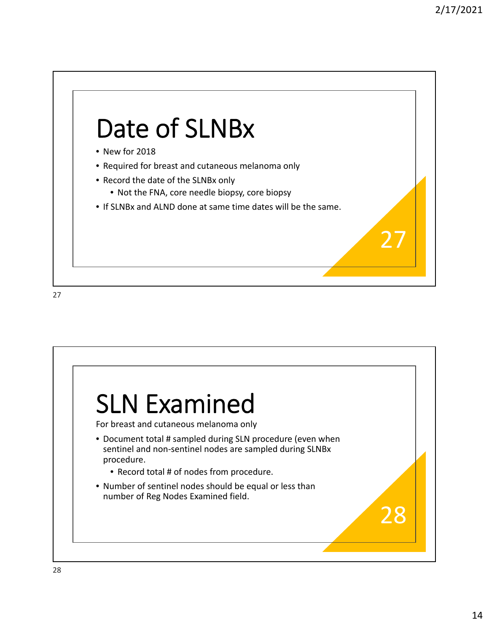

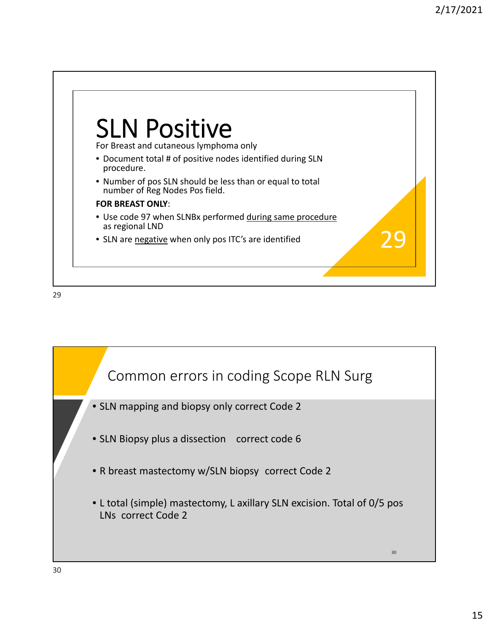

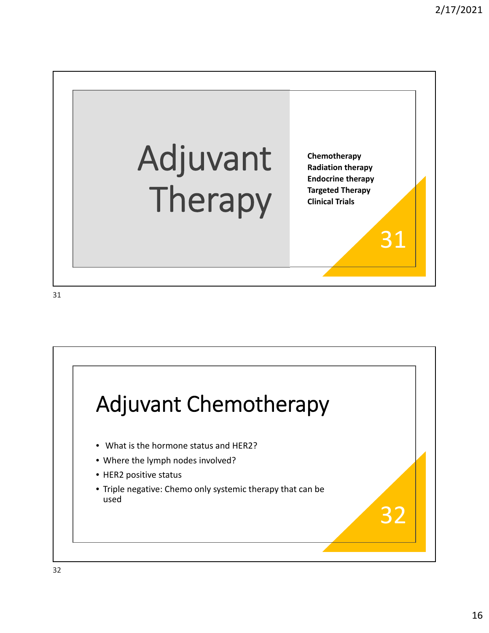

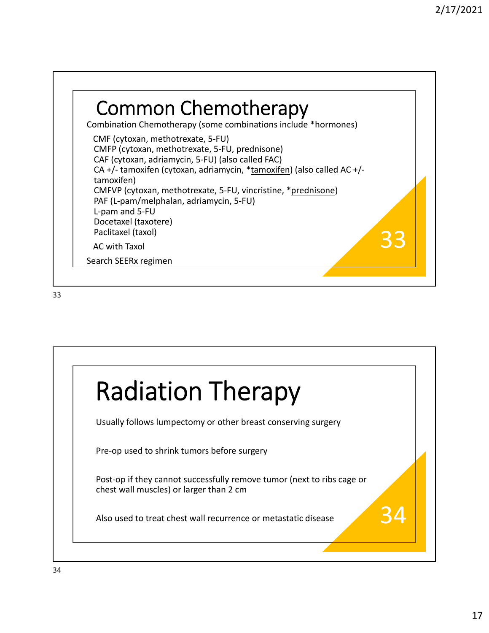

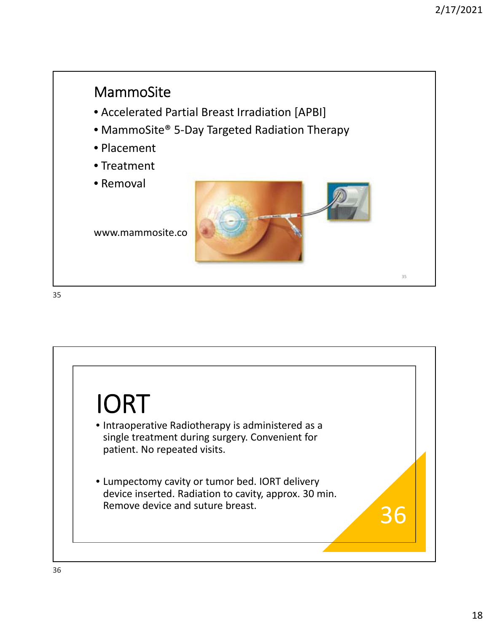

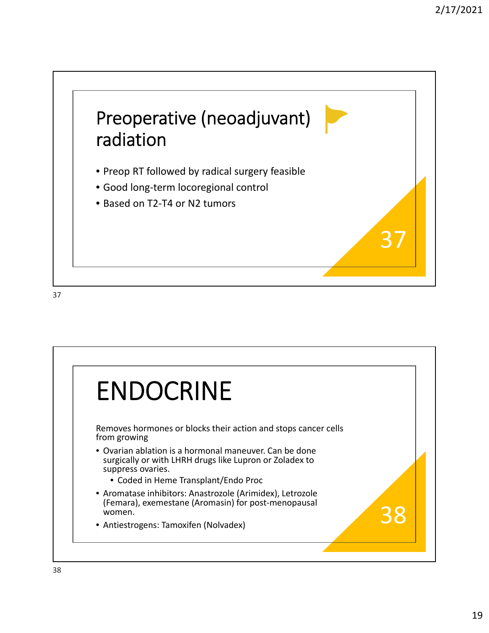

ENDOCRINE Removes hormones or blocks their action and stops cancer cells from growing • Ovarian ablation is a hormonal maneuver. Can be done surgically or with LHRH drugs like Lupron or Zoladex to suppress ovaries. • Coded in Heme Transplant/Endo Proc • Aromatase inhibitors: Anastrozole (Arimidex), Letrozole (Femara), exemestane (Aromasin) for post‐menopausal women. • Antiestrogens: Tamoxifen (Nolvadex)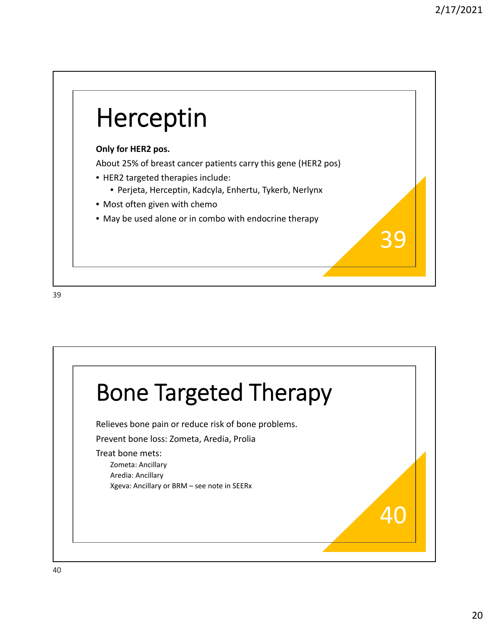

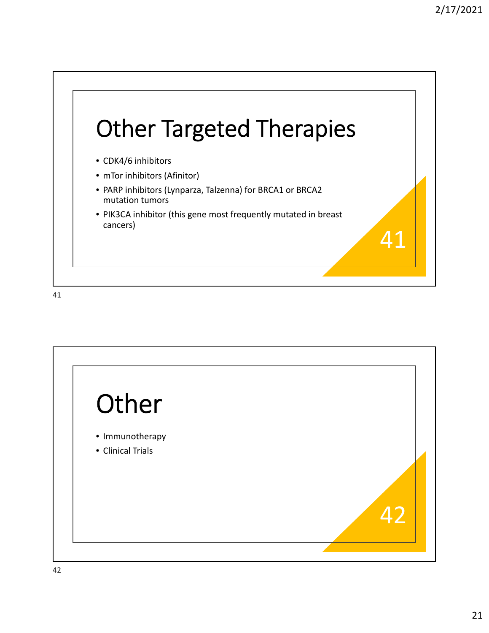